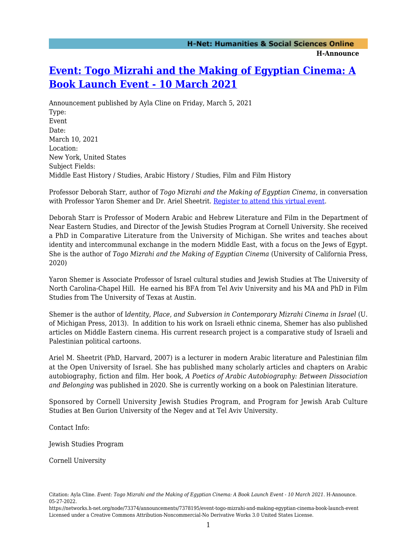## **H-Announce**

## **[Event: Togo Mizrahi and the Making of Egyptian Cinema: A](https://networks.h-net.org/node/73374/announcements/7378195/event-togo-mizrahi-and-making-egyptian-cinema-book-launch-event) [Book Launch Event - 10 March 2021](https://networks.h-net.org/node/73374/announcements/7378195/event-togo-mizrahi-and-making-egyptian-cinema-book-launch-event)**

Announcement published by Ayla Cline on Friday, March 5, 2021 Type: Event Date: March 10, 2021 Location: New York, United States Subject Fields: Middle East History / Studies, Arabic History / Studies, Film and Film History

Professor Deborah Starr, author of *Togo Mizrahi and the Making of Egyptian Cinema*, in conversation with Professor Yaron Shemer and Dr. Ariel Sheetrit. [Register to attend this virtual event.](https://cornell.zoom.us/webinar/register/WN_dzWmerWfRm2ZdC6ywDNA4A)

Deborah Starr is Professor of Modern Arabic and Hebrew Literature and Film in the Department of Near Eastern Studies, and Director of the Jewish Studies Program at Cornell University. She received a PhD in Comparative Literature from the University of Michigan. She writes and teaches about identity and intercommunal exchange in the modern Middle East, with a focus on the Jews of Egypt. She is the author of *Togo Mizrahi and the Making of Egyptian Cinema* (University of California Press, 2020)

Yaron Shemer is Associate Professor of Israel cultural studies and Jewish Studies at The University of North Carolina-Chapel Hill. He earned his BFA from Tel Aviv University and his MA and PhD in Film Studies from The University of Texas at Austin.

Shemer is the author of I*dentity, Place, and Subversion in Contemporary Mizrahi Cinema in Israel* (U. of Michigan Press, 2013). In addition to his work on Israeli ethnic cinema, Shemer has also published articles on Middle Eastern cinema. His current research project is a comparative study of Israeli and Palestinian political cartoons.

Ariel M. Sheetrit (PhD, Harvard, 2007) is a lecturer in modern Arabic literature and Palestinian film at the Open University of Israel. She has published many scholarly articles and chapters on Arabic autobiography, fiction and film. Her book, *A Poetics of Arabic Autobiography: Between Dissociation and Belonging* was published in 2020. She is currently working on a book on Palestinian literature.

Sponsored by Cornell University Jewish Studies Program, and Program for Jewish Arab Culture Studies at Ben Gurion University of the Negev and at Tel Aviv University.

Contact Info:

Jewish Studies Program

Cornell University

Citation: Ayla Cline. *Event: Togo Mizrahi and the Making of Egyptian Cinema: A Book Launch Event - 10 March 2021*. H-Announce. 05-27-2022.

https://networks.h-net.org/node/73374/announcements/7378195/event-togo-mizrahi-and-making-egyptian-cinema-book-launch-event Licensed under a Creative Commons Attribution-Noncommercial-No Derivative Works 3.0 United States License.